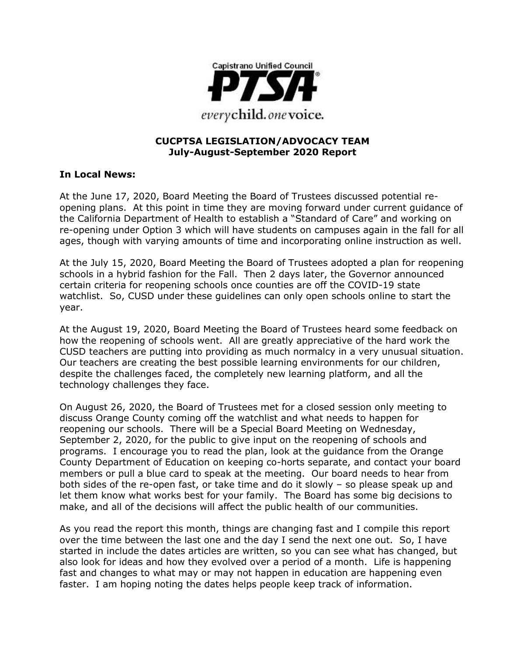

#### **CUCPTSA LEGISLATION/ADVOCACY TEAM July-August-September 2020 Report**

#### **In Local News:**

At the June 17, 2020, Board Meeting the Board of Trustees discussed potential reopening plans. At this point in time they are moving forward under current guidance of the California Department of Health to establish a "Standard of Care" and working on re-opening under Option 3 which will have students on campuses again in the fall for all ages, though with varying amounts of time and incorporating online instruction as well.

At the July 15, 2020, Board Meeting the Board of Trustees adopted a plan for reopening schools in a hybrid fashion for the Fall. Then 2 days later, the Governor announced certain criteria for reopening schools once counties are off the COVID-19 state watchlist. So, CUSD under these guidelines can only open schools online to start the year.

At the August 19, 2020, Board Meeting the Board of Trustees heard some feedback on how the reopening of schools went. All are greatly appreciative of the hard work the CUSD teachers are putting into providing as much normalcy in a very unusual situation. Our teachers are creating the best possible learning environments for our children, despite the challenges faced, the completely new learning platform, and all the technology challenges they face.

On August 26, 2020, the Board of Trustees met for a closed session only meeting to discuss Orange County coming off the watchlist and what needs to happen for reopening our schools. There will be a Special Board Meeting on Wednesday, September 2, 2020, for the public to give input on the reopening of schools and programs. I encourage you to read the plan, look at the guidance from the Orange County Department of Education on keeping co-horts separate, and contact your board members or pull a blue card to speak at the meeting. Our board needs to hear from both sides of the re-open fast, or take time and do it slowly – so please speak up and let them know what works best for your family. The Board has some big decisions to make, and all of the decisions will affect the public health of our communities.

As you read the report this month, things are changing fast and I compile this report over the time between the last one and the day I send the next one out. So, I have started in include the dates articles are written, so you can see what has changed, but also look for ideas and how they evolved over a period of a month. Life is happening fast and changes to what may or may not happen in education are happening even faster. I am hoping noting the dates helps people keep track of information.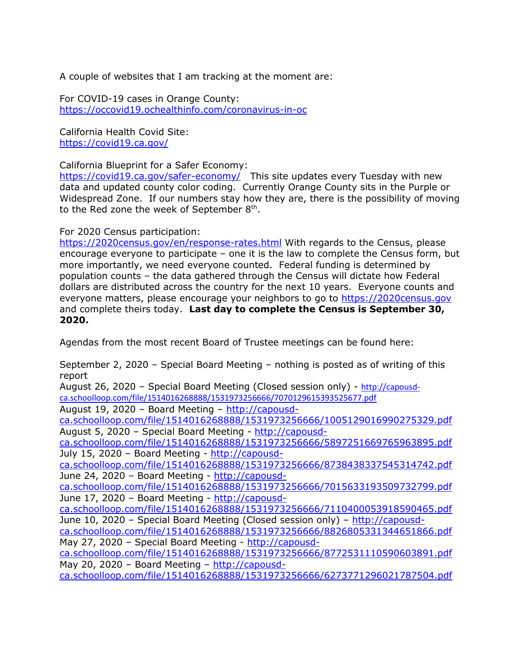A couple of websites that I am tracking at the moment are:

For COVID-19 cases in Orange County: <https://occovid19.ochealthinfo.com/coronavirus-in-oc>

California Health Covid Site: <https://covid19.ca.gov/>

California Blueprint for a Safer Economy:

<https://covid19.ca.gov/safer-economy/>This site updates every Tuesday with new data and updated county color coding. Currently Orange County sits in the Purple or Widespread Zone. If our numbers stay how they are, there is the possibility of moving to the Red zone the week of September  $8<sup>th</sup>$ .

For 2020 Census participation:

<https://2020census.gov/en/response-rates.html> With regards to the Census, please encourage everyone to participate – one it is the law to complete the Census form, but more importantly, we need everyone counted. Federal funding is determined by population counts – the data gathered through the Census will dictate how Federal dollars are distributed across the country for the next 10 years. Everyone counts and everyone matters, please encourage your neighbors to go to [https://2020census.gov](https://2020census.gov/) and complete theirs today. **Last day to complete the Census is September 30, 2020.**

Agendas from the most recent Board of Trustee meetings can be found here:

September 2, 2020 – Special Board Meeting – nothing is posted as of writing of this report August 26, 2020 - Special Board Meeting (Closed session only) - [http://capousd](http://capousd-ca.schoolloop.com/file/1514016268888/1531973256666/7070129615393525677.pdf)[ca.schoolloop.com/file/1514016268888/1531973256666/7070129615393525677.pdf](http://capousd-ca.schoolloop.com/file/1514016268888/1531973256666/7070129615393525677.pdf) August 19, 2020 – Board Meeting – [http://capousd](http://capousd-ca.schoolloop.com/file/1514016268888/1531973256666/1005129016990275329.pdf)[ca.schoolloop.com/file/1514016268888/1531973256666/1005129016990275329.pdf](http://capousd-ca.schoolloop.com/file/1514016268888/1531973256666/1005129016990275329.pdf) August 5, 2020 – Special Board Meeting - [http://capousd](http://capousd-ca.schoolloop.com/file/1514016268888/1531973256666/5897251669765963895.pdf)[ca.schoolloop.com/file/1514016268888/1531973256666/5897251669765963895.pdf](http://capousd-ca.schoolloop.com/file/1514016268888/1531973256666/5897251669765963895.pdf) July 15, 2020 – Board Meeting - [http://capousd](http://capousd-ca.schoolloop.com/file/1514016268888/1531973256666/8738438337545314742.pdf)[ca.schoolloop.com/file/1514016268888/1531973256666/8738438337545314742.pdf](http://capousd-ca.schoolloop.com/file/1514016268888/1531973256666/8738438337545314742.pdf) June 24, 2020 – Board Meeting - [http://capousd](http://capousd-ca.schoolloop.com/file/1514016268888/1531973256666/7015633193509732799.pdf)[ca.schoolloop.com/file/1514016268888/1531973256666/7015633193509732799.pdf](http://capousd-ca.schoolloop.com/file/1514016268888/1531973256666/7015633193509732799.pdf) June 17, 2020 – Board Meeting - [http://capousd](http://capousd-ca.schoolloop.com/file/1514016268888/1531973256666/7110400053918590465.pdf)[ca.schoolloop.com/file/1514016268888/1531973256666/7110400053918590465.pdf](http://capousd-ca.schoolloop.com/file/1514016268888/1531973256666/7110400053918590465.pdf) June 10, 2020 – Special Board Meeting (Closed session only) – [http://capousd](http://capousd-ca.schoolloop.com/file/1514016268888/1531973256666/8826805331344651866.pdf)[ca.schoolloop.com/file/1514016268888/1531973256666/8826805331344651866.pdf](http://capousd-ca.schoolloop.com/file/1514016268888/1531973256666/8826805331344651866.pdf) May 27, 2020 – Special Board Meeting - [http://capousd](http://capousd-ca.schoolloop.com/file/1514016268888/1531973256666/8772531110590603891.pdf)[ca.schoolloop.com/file/1514016268888/1531973256666/8772531110590603891.pdf](http://capousd-ca.schoolloop.com/file/1514016268888/1531973256666/8772531110590603891.pdf) May 20, 2020 - Board Meeting - [http://capousd](http://capousd-ca.schoolloop.com/file/1514016268888/1531973256666/6273771296021787504.pdf)[ca.schoolloop.com/file/1514016268888/1531973256666/6273771296021787504.pdf](http://capousd-ca.schoolloop.com/file/1514016268888/1531973256666/6273771296021787504.pdf)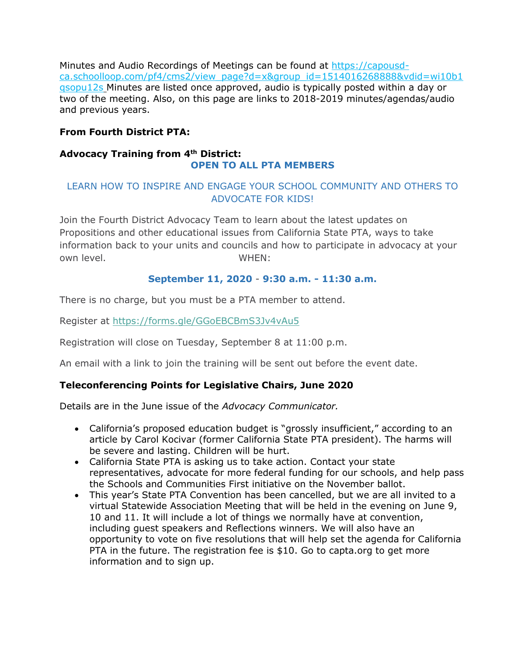Minutes and Audio Recordings of Meetings can be found at [https://capousd](https://capousd-ca.schoolloop.com/pf4/cms2/view_page?d=x&group_id=1514016268888&vdid=wi10b1qsopu12s)[ca.schoolloop.com/pf4/cms2/view\\_page?d=x&group\\_id=1514016268888&vdid=wi10b1](https://capousd-ca.schoolloop.com/pf4/cms2/view_page?d=x&group_id=1514016268888&vdid=wi10b1qsopu12s) [qsopu12s](https://capousd-ca.schoolloop.com/pf4/cms2/view_page?d=x&group_id=1514016268888&vdid=wi10b1qsopu12s) Minutes are listed once approved, audio is typically posted within a day or two of the meeting. Also, on this page are links to 2018-2019 minutes/agendas/audio and previous years.

# **From Fourth District PTA:**

# **Advocacy Training from 4th District: OPEN TO ALL PTA MEMBERS**

# LEARN HOW TO INSPIRE AND ENGAGE YOUR SCHOOL COMMUNITY AND OTHERS TO ADVOCATE FOR KIDS!

Join the Fourth District Advocacy Team to learn about the latest updates on Propositions and other educational issues from California State PTA, ways to take information back to your units and councils and how to participate in advocacy at your own level. The contract of the contract of the contract of the contract of the contract of the contract of the contract of the contract of the contract of the contract of the contract of the contract of the contract of the

## **September 11, 2020** - **9:30 a.m. - 11:30 a.m.**

There is no charge, but you must be a PTA member to attend.

Register at [https://forms.gle/GGoEBCBmS3Jv4vAu5](http://r20.rs6.net/tn.jsp?f=0014gR94B9hGjBicgqMn3Y1CLY6TrRMfqXGXuBw39Y4SUgp6FHSEr0k4-Wbx5XIT7CK475vdVvj7jg4ng9OfVa9zm9ZgFrYkEJX0aNgMsXgdwbkYTGyCLzbB_BNMmiopwscf1uPlEMGE2P3C08q9bZ83x_ecRD6Hx6k&c=nrQ2wqzn0-s-ZkAUbFl0Shpv8EuLkaU4KCgIsEk8vK4eJr8F9kkuEA==&ch=KPPTLGctSWmruBVMTmHAS045W5jyO4oUKeDS6ArS9NM-EmhW2Kryag==)

Registration will close on Tuesday, September 8 at 11:00 p.m.

An email with a link to join the training will be sent out before the event date.

## **Teleconferencing Points for Legislative Chairs, June 2020**

Details are in the June issue of the *Advocacy Communicator.*

- California's proposed education budget is "grossly insufficient," according to an article by Carol Kocivar (former California State PTA president). The harms will be severe and lasting. Children will be hurt.
- California State PTA is asking us to take action. Contact your state representatives, advocate for more federal funding for our schools, and help pass the Schools and Communities First initiative on the November ballot.
- This year's State PTA Convention has been cancelled, but we are all invited to a virtual Statewide Association Meeting that will be held in the evening on June 9, 10 and 11. It will include a lot of things we normally have at convention, including guest speakers and Reflections winners. We will also have an opportunity to vote on five resolutions that will help set the agenda for California PTA in the future. The registration fee is \$10. Go to capta.org to get more information and to sign up.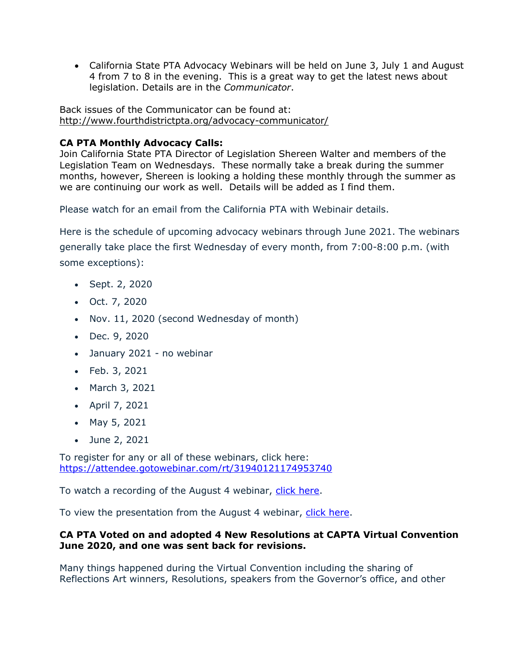• California State PTA Advocacy Webinars will be held on June 3, July 1 and August 4 from 7 to 8 in the evening. This is a great way to get the latest news about legislation. Details are in the *Communicator*.

Back issues of the Communicator can be found at: <http://www.fourthdistrictpta.org/advocacy-communicator/>

# **CA PTA Monthly Advocacy Calls:**

Join California State PTA Director of Legislation Shereen Walter and members of the Legislation Team on Wednesdays. These normally take a break during the summer months, however, Shereen is looking a holding these monthly through the summer as we are continuing our work as well. Details will be added as I find them.

Please watch for an email from the California PTA with Webinair details.

Here is the schedule of upcoming advocacy webinars through June 2021. The webinars generally take place the first Wednesday of every month, from 7:00-8:00 p.m. (with some exceptions):

- Sept. 2, 2020
- Oct. 7, 2020
- Nov. 11, 2020 (second Wednesday of month)
- Dec. 9, 2020
- January 2021 no webinar
- Feb. 3, 2021
- March 3, 2021
- April 7, 2021
- May 5, 2021
- June 2, 2021

To register for any or all of these webinars, click here: [https://attendee.gotowebinar.com/rt/31940121174953740](http://capta.bmetrack.com/c/l?u=AB6FF6E&e=10CEA9F&c=4592C&t=0&l=2971D61A&email=TepeYfBsuqqthho6K9B9EXzBjzlZ2TJR&seq=1)

To watch a recording of the August 4 webinar, [click here.](http://capta.bmetrack.com/c/l?u=AB6FF6F&e=10CEA9F&c=4592C&t=0&l=2971D61A&email=TepeYfBsuqqthho6K9B9EXzBjzlZ2TJR&seq=1)

To view the presentation from the August 4 webinar, [click here.](http://capta.bmetrack.com/c/l?u=AB6FF70&e=10CEA9F&c=4592C&t=0&l=2971D61A&email=TepeYfBsuqqthho6K9B9EXzBjzlZ2TJR&seq=1)

## **CA PTA Voted on and adopted 4 New Resolutions at CAPTA Virtual Convention June 2020, and one was sent back for revisions.**

Many things happened during the Virtual Convention including the sharing of Reflections Art winners, Resolutions, speakers from the Governor's office, and other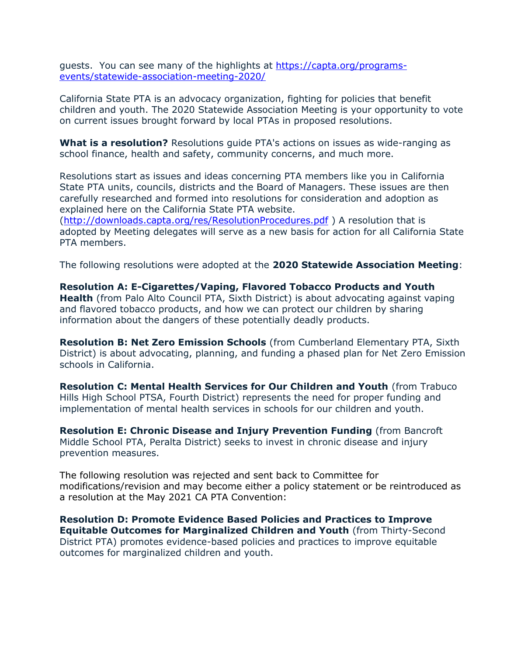guests. You can see many of the highlights at [https://capta.org/programs](https://capta.org/programs-events/statewide-association-meeting-2020/)[events/statewide-association-meeting-2020/](https://capta.org/programs-events/statewide-association-meeting-2020/)

California State PTA is an advocacy organization, fighting for policies that benefit children and youth. The 2020 Statewide Association Meeting is your opportunity to vote on current issues brought forward by local PTAs in proposed resolutions.

**What is a resolution?** Resolutions guide PTA's actions on issues as wide-ranging as school finance, health and safety, community concerns, and much more.

Resolutions start as issues and ideas concerning PTA members like you in California State PTA units, councils, districts and the Board of Managers. These issues are then carefully researched and formed into resolutions for consideration and adoption as explained here on the California State PTA website.

[\(http://downloads.capta.org/res/ResolutionProcedures.pdf](http://downloads.capta.org/res/ResolutionProcedures.pdf) ) A resolution that is adopted by Meeting delegates will serve as a new basis for action for all California State PTA members.

The following resolutions were adopted at the **2020 Statewide Association Meeting**:

**Resolution A: E-Cigarettes/Vaping, Flavored Tobacco Products and Youth Health** (from Palo Alto Council PTA, Sixth District) is about advocating against vaping and flavored tobacco products, and how we can protect our children by sharing information about the dangers of these potentially deadly products.

**Resolution B: Net Zero Emission Schools** (from Cumberland Elementary PTA, Sixth District) is about advocating, planning, and funding a phased plan for Net Zero Emission schools in California.

**Resolution C: Mental Health Services for Our Children and Youth** (from Trabuco Hills High School PTSA, Fourth District) represents the need for proper funding and implementation of mental health services in schools for our children and youth.

**Resolution E: Chronic Disease and Injury Prevention Funding** (from Bancroft Middle School PTA, Peralta District) seeks to invest in chronic disease and injury prevention measures.

The following resolution was rejected and sent back to Committee for modifications/revision and may become either a policy statement or be reintroduced as a resolution at the May 2021 CA PTA Convention:

**Resolution D: Promote Evidence Based Policies and Practices to Improve Equitable Outcomes for Marginalized Children and Youth** (from Thirty-Second District PTA) promotes evidence-based policies and practices to improve equitable outcomes for marginalized children and youth.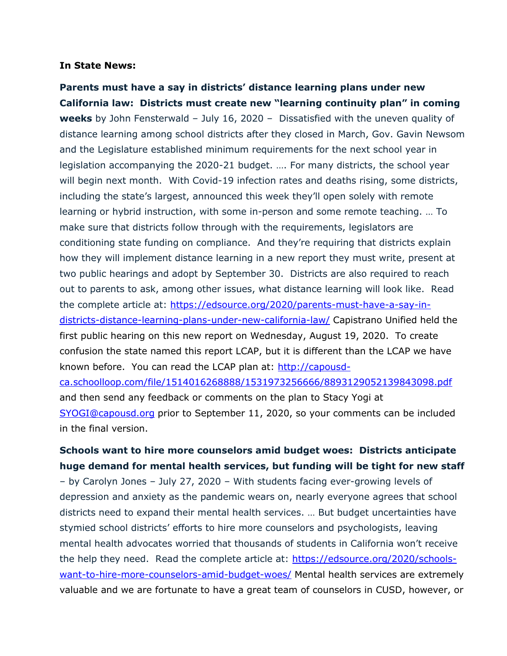#### **In State News:**

**Parents must have a say in districts' distance learning plans under new California law: Districts must create new "learning continuity plan" in coming weeks** by John Fensterwald – July 16, 2020 – Dissatisfied with the uneven quality of distance learning among school districts after they closed in March, Gov. Gavin Newsom and the Legislature established minimum requirements for the next school year in legislation accompanying the 2020-21 budget. …. For many districts, the school year will begin next month. With Covid-19 infection rates and deaths rising, some districts, including the state's largest, announced this week they'll open solely with remote learning or hybrid instruction, with some in-person and some remote teaching. … To make sure that districts follow through with the requirements, legislators are conditioning state funding on compliance. And they're requiring that districts explain how they will implement distance learning in a new report they must write, present at two public hearings and adopt by September 30. Districts are also required to reach out to parents to ask, among other issues, what distance learning will look like. Read the complete article at: [https://edsource.org/2020/parents-must-have-a-say-in](https://edsource.org/2020/parents-must-have-a-say-in-districts-distance-learning-plans-under-new-california-law/)[districts-distance-learning-plans-under-new-california-law/](https://edsource.org/2020/parents-must-have-a-say-in-districts-distance-learning-plans-under-new-california-law/) Capistrano Unified held the first public hearing on this new report on Wednesday, August 19, 2020. To create confusion the state named this report LCAP, but it is different than the LCAP we have known before. You can read the LCAP plan at: [http://capousd](http://capousd-ca.schoolloop.com/file/1514016268888/1531973256666/8893129052139843098.pdf)[ca.schoolloop.com/file/1514016268888/1531973256666/8893129052139843098.pdf](http://capousd-ca.schoolloop.com/file/1514016268888/1531973256666/8893129052139843098.pdf) and then send any feedback or comments on the plan to Stacy Yogi at [SYOGI@capousd.org](mailto:SYOGI@capousd.org) prior to September 11, 2020, so your comments can be included in the final version.

# **Schools want to hire more counselors amid budget woes: Districts anticipate huge demand for mental health services, but funding will be tight for new staff**

– by Carolyn Jones – July 27, 2020 – With students facing ever-growing levels of depression and anxiety as the pandemic wears on, nearly everyone agrees that school districts need to expand their mental health services. … But budget uncertainties have stymied school districts' efforts to hire more counselors and psychologists, leaving mental health advocates worried that thousands of students in California won't receive the help they need. Read the complete article at: [https://edsource.org/2020/schools](https://edsource.org/2020/schools-want-to-hire-more-counselors-amid-budget-woes/)[want-to-hire-more-counselors-amid-budget-woes/](https://edsource.org/2020/schools-want-to-hire-more-counselors-amid-budget-woes/) Mental health services are extremely valuable and we are fortunate to have a great team of counselors in CUSD, however, or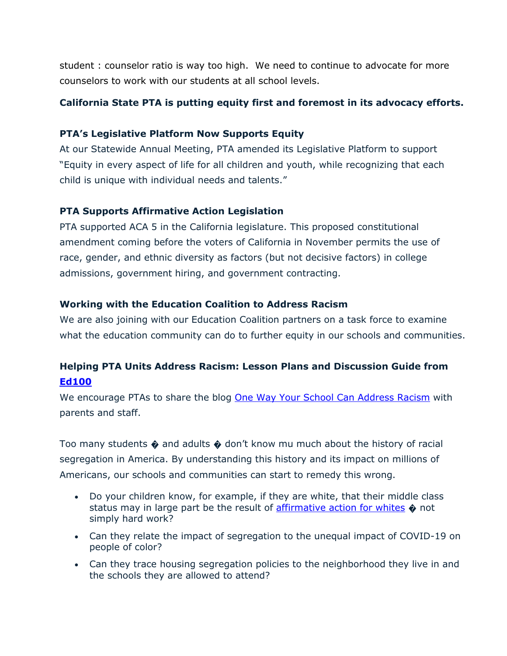student : counselor ratio is way too high. We need to continue to advocate for more counselors to work with our students at all school levels.

# **California State PTA is putting equity first and foremost in its advocacy efforts.**

## **PTA's Legislative Platform Now Supports Equity**

At our Statewide Annual Meeting, PTA amended its Legislative Platform to support "Equity in every aspect of life for all children and youth, while recognizing that each child is unique with individual needs and talents."

## **PTA Supports Affirmative Action Legislation**

PTA supported ACA 5 in the California legislature. This proposed constitutional amendment coming before the voters of California in November permits the use of race, gender, and ethnic diversity as factors (but not decisive factors) in college admissions, government hiring, and government contracting.

## **Working with the Education Coalition to Address Racism**

We are also joining with our Education Coalition partners on a task force to examine what the education community can do to further equity in our schools and communities.

# **Helping PTA Units Address Racism: Lesson Plans and Discussion Guide from [Ed100](http://capta.bmetrack.com/c/l?u=AA13DC4&e=10A996D&c=4592C&t=0&l=2618F4B8&email=TepeYfBsuqqthho6K9B9EXzBjzlZ2TJR&seq=1)**

We encourage PTAs to share the blog [One Way Your School Can Address Racism](http://capta.bmetrack.com/c/l?u=AA13DC5&e=10A996D&c=4592C&t=0&l=2618F4B8&email=TepeYfBsuqqthho6K9B9EXzBjzlZ2TJR&seq=1) with parents and staff.

Too many students  $\hat{\mathbf{\Theta}}$  and adults  $\hat{\mathbf{\Theta}}$  don't know mu much about the history of racial segregation in America. By understanding this history and its impact on millions of Americans, our schools and communities can start to remedy this wrong.

- Do your children know, for example, if they are white, that their middle class status may in large part be the result of **affirmative action for whites**  $\phi$  not simply hard work?
- Can they relate the impact of segregation to the unequal impact of COVID-19 on people of color?
- Can they trace housing segregation policies to the neighborhood they live in and the schools they are allowed to attend?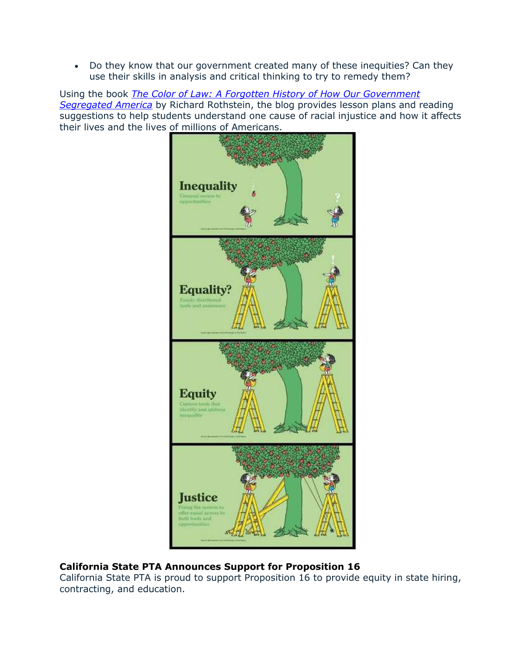• Do they know that our government created many of these inequities? Can they use their skills in analysis and critical thinking to try to remedy them?

Using the book *[The Color of Law: A Forgotten History of How Our Government](http://capta.bmetrack.com/c/l?u=AA13DC7&e=10A996D&c=4592C&t=0&l=2618F4B8&email=TepeYfBsuqqthho6K9B9EXzBjzlZ2TJR&seq=1)  [Segregated America](http://capta.bmetrack.com/c/l?u=AA13DC7&e=10A996D&c=4592C&t=0&l=2618F4B8&email=TepeYfBsuqqthho6K9B9EXzBjzlZ2TJR&seq=1)* by Richard Rothstein, the blog provides lesson plans and reading suggestions to help students understand one cause of racial injustice and how it affects their lives and the lives of millions of Americans.



## **California State PTA Announces Support for Proposition 16**

California State PTA is proud to support Proposition 16 to provide equity in state hiring, contracting, and education.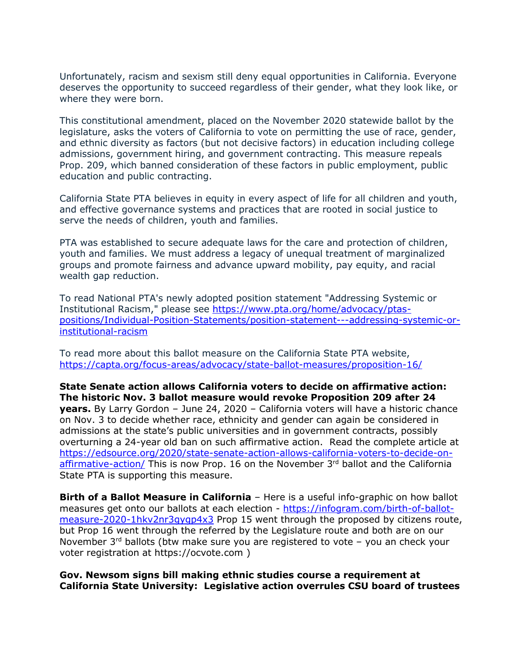Unfortunately, racism and sexism still deny equal opportunities in California. Everyone deserves the opportunity to succeed regardless of their gender, what they look like, or where they were born.

This constitutional amendment, placed on the November 2020 statewide ballot by the legislature, asks the voters of California to vote on permitting the use of race, gender, and ethnic diversity as factors (but not decisive factors) in education including college admissions, government hiring, and government contracting. This measure repeals Prop. 209, which banned consideration of these factors in public employment, public education and public contracting.

California State PTA believes in equity in every aspect of life for all children and youth, and effective governance systems and practices that are rooted in social justice to serve the needs of children, youth and families.

PTA was established to secure adequate laws for the care and protection of children, youth and families. We must address a legacy of unequal treatment of marginalized groups and promote fairness and advance upward mobility, pay equity, and racial wealth gap reduction.

To read National PTA's newly adopted position statement "Addressing Systemic or Institutional Racism," please see [https://www.pta.org/home/advocacy/ptas](https://www.pta.org/home/advocacy/ptas-positions/Individual-Position-Statements/position-statement---addressing-systemic-or-institutional-racism)[positions/Individual-Position-Statements/position-statement---addressing-systemic-or](https://www.pta.org/home/advocacy/ptas-positions/Individual-Position-Statements/position-statement---addressing-systemic-or-institutional-racism)[institutional-racism](https://www.pta.org/home/advocacy/ptas-positions/Individual-Position-Statements/position-statement---addressing-systemic-or-institutional-racism)

To read more about this ballot measure on the California State PTA website, <https://capta.org/focus-areas/advocacy/state-ballot-measures/proposition-16/>

**State Senate action allows California voters to decide on affirmative action: The historic Nov. 3 ballot measure would revoke Proposition 209 after 24 years.** By Larry Gordon – June 24, 2020 – California voters will have a historic chance on Nov. 3 to decide whether race, ethnicity and gender can again be considered in admissions at the state's public universities and in government contracts, possibly overturning a 24-year old ban on such affirmative action. Read the complete article at [https://edsource.org/2020/state-senate-action-allows-california-voters-to-decide-on](https://edsource.org/2020/state-senate-action-allows-california-voters-to-decide-on-affirmative-action/)[affirmative-action/](https://edsource.org/2020/state-senate-action-allows-california-voters-to-decide-on-affirmative-action/) This is now Prop. 16 on the November 3rd ballot and the California State PTA is supporting this measure.

**Birth of a Ballot Measure in California** – Here is a useful info-graphic on how ballot measures get onto our ballots at each election - [https://infogram.com/birth-of-ballot](https://infogram.com/birth-of-ballot-measure-2020-1hkv2nr3gygp4x3)[measure-2020-1hkv2nr3gygp4x3](https://infogram.com/birth-of-ballot-measure-2020-1hkv2nr3gygp4x3) Prop 15 went through the proposed by citizens route, but Prop 16 went through the referred by the Legislature route and both are on our November  $3^{rd}$  ballots (btw make sure you are registered to vote – you an check your voter registration at https://ocvote.com )

#### **Gov. Newsom signs bill making ethnic studies course a requirement at California State University: Legislative action overrules CSU board of trustees**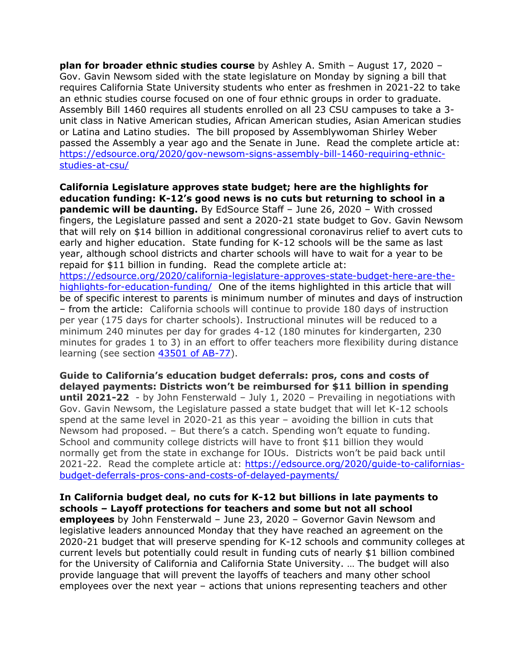**plan for broader ethnic studies course** by Ashley A. Smith – August 17, 2020 – Gov. Gavin Newsom sided with the state legislature on Monday by signing a bill that requires California State University students who enter as freshmen in 2021-22 to take an ethnic studies course focused on one of four ethnic groups in order to graduate. Assembly Bill 1460 requires all students enrolled on all 23 CSU campuses to take a 3 unit class in Native American studies, African American studies, Asian American studies or Latina and Latino studies. The bill proposed by Assemblywoman Shirley Weber passed the Assembly a year ago and the Senate in June. Read the complete article at: [https://edsource.org/2020/gov-newsom-signs-assembly-bill-1460-requiring-ethnic](https://edsource.org/2020/gov-newsom-signs-assembly-bill-1460-requiring-ethnic-studies-at-csu/)[studies-at-csu/](https://edsource.org/2020/gov-newsom-signs-assembly-bill-1460-requiring-ethnic-studies-at-csu/)

**California Legislature approves state budget; here are the highlights for education funding: K-12's good news is no cuts but returning to school in a pandemic will be daunting.** By EdSource Staff – June 26, 2020 – With crossed fingers, the Legislature passed and sent a 2020-21 state budget to Gov. Gavin Newsom that will rely on \$14 billion in additional congressional coronavirus relief to avert cuts to early and higher education. State funding for K-12 schools will be the same as last year, although school districts and charter schools will have to wait for a year to be repaid for \$11 billion in funding. Read the complete article at: [https://edsource.org/2020/california-legislature-approves-state-budget-here-are-the](https://edsource.org/2020/california-legislature-approves-state-budget-here-are-the-highlights-for-education-funding/)[highlights-for-education-funding/](https://edsource.org/2020/california-legislature-approves-state-budget-here-are-the-highlights-for-education-funding/) One of the items highlighted in this article that will be of specific interest to parents is minimum number of minutes and days of instruction – from the article: California schools will continue to provide 180 days of instruction per year (175 days for charter schools). Instructional minutes will be reduced to a minimum 240 minutes per day for grades 4-12 (180 minutes for kindergarten, 230 minutes for grades 1 to 3) in an effort to offer teachers more flexibility during distance learning (see section [43501 of AB-77\)](http://leginfo.legislature.ca.gov/faces/billNavClient.xhtml?bill_id=201920200AB77).

**Guide to California's education budget deferrals: pros, cons and costs of delayed payments: Districts won't be reimbursed for \$11 billion in spending until 2021-22** - by John Fensterwald – July 1, 2020 – Prevailing in negotiations with Gov. Gavin Newsom, the Legislature passed a state budget that will let K-12 schools spend at the same level in 2020-21 as this year – avoiding the billion in cuts that Newsom had proposed. – But there's a catch. Spending won't equate to funding. School and community college districts will have to front \$11 billion they would normally get from the state in exchange for IOUs. Districts won't be paid back until 2021-22. Read the complete article at: [https://edsource.org/2020/guide-to-californias](https://edsource.org/2020/guide-to-californias-budget-deferrals-pros-cons-and-costs-of-delayed-payments/)[budget-deferrals-pros-cons-and-costs-of-delayed-payments/](https://edsource.org/2020/guide-to-californias-budget-deferrals-pros-cons-and-costs-of-delayed-payments/)

#### **In California budget deal, no cuts for K-12 but billions in late payments to schools – Layoff protections for teachers and some but not all school**

**employees** by John Fensterwald – June 23, 2020 – Governor Gavin Newsom and legislative leaders announced Monday that they have reached an agreement on the 2020-21 budget that will preserve spending for K-12 schools and community colleges at current levels but potentially could result in funding cuts of nearly \$1 billion combined for the University of California and California State University. … The budget will also provide language that will prevent the layoffs of teachers and many other school employees over the next year – actions that unions representing teachers and other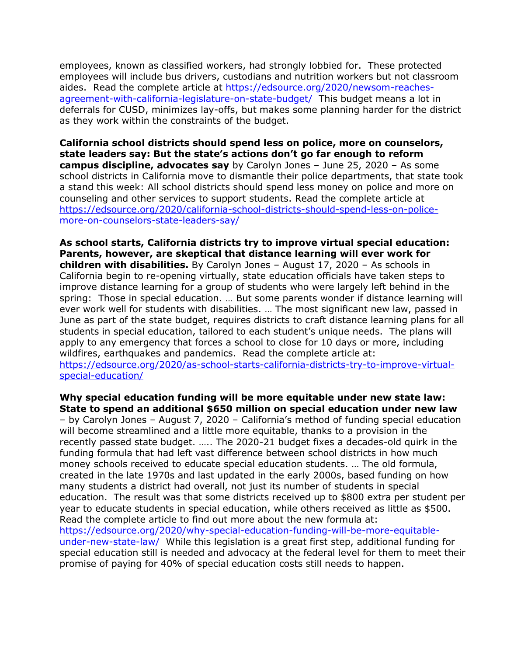employees, known as classified workers, had strongly lobbied for. These protected employees will include bus drivers, custodians and nutrition workers but not classroom aides. Read the complete article at [https://edsource.org/2020/newsom-reaches](https://edsource.org/2020/newsom-reaches-agreement-with-california-legislature-on-state-budget/)[agreement-with-california-legislature-on-state-budget/](https://edsource.org/2020/newsom-reaches-agreement-with-california-legislature-on-state-budget/) This budget means a lot in deferrals for CUSD, minimizes lay-offs, but makes some planning harder for the district as they work within the constraints of the budget.

**California school districts should spend less on police, more on counselors, state leaders say: But the state's actions don't go far enough to reform campus discipline, advocates say** by Carolyn Jones – June 25, 2020 – As some school districts in California move to dismantle their police departments, that state took a stand this week: All school districts should spend less money on police and more on counseling and other services to support students. Read the complete article at [https://edsource.org/2020/california-school-districts-should-spend-less-on-police](https://edsource.org/2020/california-school-districts-should-spend-less-on-police-more-on-counselors-state-leaders-say/)[more-on-counselors-state-leaders-say/](https://edsource.org/2020/california-school-districts-should-spend-less-on-police-more-on-counselors-state-leaders-say/)

**As school starts, California districts try to improve virtual special education: Parents, however, are skeptical that distance learning will ever work for children with disabilities.** By Carolyn Jones – August 17, 2020 – As schools in California begin to re-opening virtually, state education officials have taken steps to improve distance learning for a group of students who were largely left behind in the spring: Those in special education. … But some parents wonder if distance learning will ever work well for students with disabilities. … The most significant new law, passed in June as part of the state budget, requires districts to craft distance learning plans for all students in special education, tailored to each student's unique needs. The plans will apply to any emergency that forces a school to close for 10 days or more, including wildfires, earthquakes and pandemics. Read the complete article at: [https://edsource.org/2020/as-school-starts-california-districts-try-to-improve-virtual](https://edsource.org/2020/as-school-starts-california-districts-try-to-improve-virtual-special-education/)[special-education/](https://edsource.org/2020/as-school-starts-california-districts-try-to-improve-virtual-special-education/)

**Why special education funding will be more equitable under new state law: State to spend an additional \$650 million on special education under new law**  – by Carolyn Jones – August 7, 2020 – California's method of funding special education will become streamlined and a little more equitable, thanks to a provision in the recently passed state budget. ….. The 2020-21 budget fixes a decades-old quirk in the funding formula that had left vast difference between school districts in how much money schools received to educate special education students. … The old formula, created in the late 1970s and last updated in the early 2000s, based funding on how many students a district had overall, not just its number of students in special education. The result was that some districts received up to \$800 extra per student per year to educate students in special education, while others received as little as \$500. Read the complete article to find out more about the new formula at: [https://edsource.org/2020/why-special-education-funding-will-be-more-equitable](https://edsource.org/2020/why-special-education-funding-will-be-more-equitable-under-new-state-law/)[under-new-state-law/](https://edsource.org/2020/why-special-education-funding-will-be-more-equitable-under-new-state-law/) While this legislation is a great first step, additional funding for special education still is needed and advocacy at the federal level for them to meet their promise of paying for 40% of special education costs still needs to happen.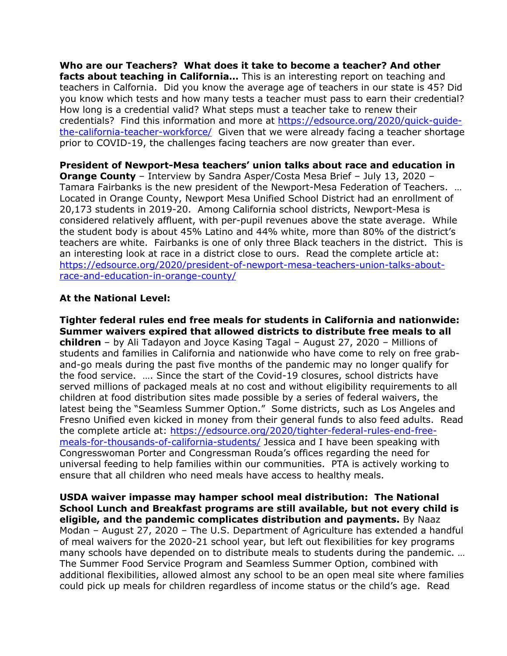**Who are our Teachers? What does it take to become a teacher? And other facts about teaching in California…** This is an interesting report on teaching and teachers in Calfornia. Did you know the average age of teachers in our state is 45? Did you know which tests and how many tests a teacher must pass to earn their credential? How long is a credential valid? What steps must a teacher take to renew their credentials? Find this information and more at [https://edsource.org/2020/quick-guide](https://edsource.org/2020/quick-guide-the-california-teacher-workforce/)[the-california-teacher-workforce/](https://edsource.org/2020/quick-guide-the-california-teacher-workforce/) Given that we were already facing a teacher shortage prior to COVID-19, the challenges facing teachers are now greater than ever.

**President of Newport-Mesa teachers' union talks about race and education in Orange County** – Interview by Sandra Asper/Costa Mesa Brief – July 13, 2020 – Tamara Fairbanks is the new president of the Newport-Mesa Federation of Teachers. … Located in Orange County, Newport Mesa Unified School District had an enrollment of 20,173 students in 2019-20. Among California school districts, Newport-Mesa is considered relatively affluent, with per-pupil revenues above the state average. While the student body is about 45% Latino and 44% white, more than 80% of the district's teachers are white. Fairbanks is one of only three Black teachers in the district. This is an interesting look at race in a district close to ours. Read the complete article at: [https://edsource.org/2020/president-of-newport-mesa-teachers-union-talks-about](https://edsource.org/2020/president-of-newport-mesa-teachers-union-talks-about-race-and-education-in-orange-county/)[race-and-education-in-orange-county/](https://edsource.org/2020/president-of-newport-mesa-teachers-union-talks-about-race-and-education-in-orange-county/)

## **At the National Level:**

**Tighter federal rules end free meals for students in California and nationwide: Summer waivers expired that allowed districts to distribute free meals to all children** – by Ali Tadayon and Joyce Kasing Tagal – August 27, 2020 – Millions of students and families in California and nationwide who have come to rely on free graband-go meals during the past five months of the pandemic may no longer qualify for the food service. …. Since the start of the Covid-19 closures, school districts have served millions of packaged meals at no cost and without eligibility requirements to all children at food distribution sites made possible by a series of federal waivers, the latest being the "Seamless Summer Option." Some districts, such as Los Angeles and Fresno Unified even kicked in money from their general funds to also feed adults. Read the complete article at: [https://edsource.org/2020/tighter-federal-rules-end-free](https://edsource.org/2020/tighter-federal-rules-end-free-meals-for-thousands-of-california-students/)[meals-for-thousands-of-california-students/](https://edsource.org/2020/tighter-federal-rules-end-free-meals-for-thousands-of-california-students/) Jessica and I have been speaking with Congresswoman Porter and Congressman Rouda's offices regarding the need for universal feeding to help families within our communities. PTA is actively working to ensure that all children who need meals have access to healthy meals.

**USDA waiver impasse may hamper school meal distribution: The National School Lunch and Breakfast programs are still available, but not every child is eligible, and the pandemic complicates distribution and payments.** By Naaz Modan – August 27, 2020 – The U.S. Department of Agriculture has extended a handful of meal waivers for the 2020-21 school year, but left out flexibilities for key programs many schools have depended on to distribute meals to students during the pandemic. … The Summer Food Service Program and Seamless Summer Option, combined with additional flexibilities, allowed almost any school to be an open meal site where families could pick up meals for children regardless of income status or the child's age. Read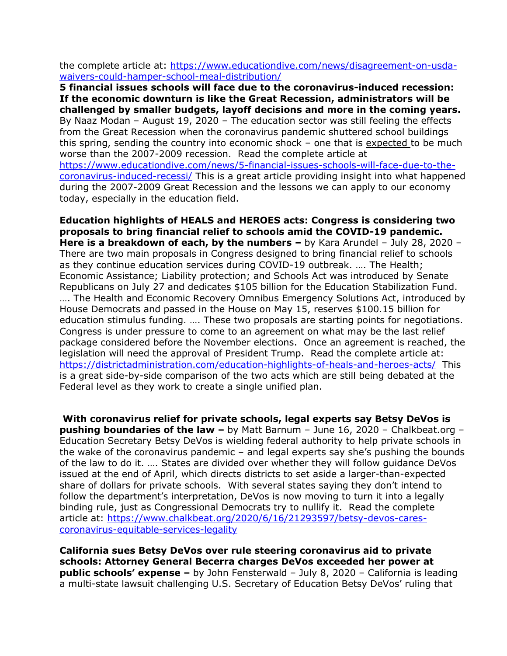the complete article at: [https://www.educationdive.com/news/disagreement-on-usda](https://www.educationdive.com/news/disagreement-on-usda-waivers-could-hamper-school-meal-distribution/)[waivers-could-hamper-school-meal-distribution/](https://www.educationdive.com/news/disagreement-on-usda-waivers-could-hamper-school-meal-distribution/)

**5 financial issues schools will face due to the coronavirus-induced recession: If the economic downturn is like the Great Recession, administrators will be challenged by smaller budgets, layoff decisions and more in the coming years.**  By Naaz Modan – August 19, 2020 – The education sector was still feeling the effects from the Great Recession when the coronavirus pandemic shuttered school buildings this spring, sending the country into economic shock  $-$  one that is expected to be much worse than the 2007-2009 recession. Read the complete article at [https://www.educationdive.com/news/5-financial-issues-schools-will-face-due-to-the](https://www.educationdive.com/news/5-financial-issues-schools-will-face-due-to-the-coronavirus-induced-recessi/)[coronavirus-induced-recessi/](https://www.educationdive.com/news/5-financial-issues-schools-will-face-due-to-the-coronavirus-induced-recessi/) This is a great article providing insight into what happened during the 2007-2009 Great Recession and the lessons we can apply to our economy today, especially in the education field.

**Education highlights of HEALS and HEROES acts: Congress is considering two proposals to bring financial relief to schools amid the COVID-19 pandemic. Here is a breakdown of each, by the numbers –** by Kara Arundel – July 28, 2020 – There are two main proposals in Congress designed to bring financial relief to schools as they continue education services during COVID-19 outbreak. …. The Health; Economic Assistance; Liability protection; and Schools Act was introduced by Senate Republicans on July 27 and dedicates \$105 billion for the Education Stabilization Fund. …. The Health and Economic Recovery Omnibus Emergency Solutions Act, introduced by House Democrats and passed in the House on May 15, reserves \$100.15 billion for education stimulus funding. …. These two proposals are starting points for negotiations. Congress is under pressure to come to an agreement on what may be the last relief package considered before the November elections. Once an agreement is reached, the legislation will need the approval of President Trump. Read the complete article at: <https://districtadministration.com/education-highlights-of-heals-and-heroes-acts/>This is a great side-by-side comparison of the two acts which are still being debated at the Federal level as they work to create a single unified plan.

**With coronavirus relief for private schools, legal experts say Betsy DeVos is pushing boundaries of the law –** by Matt Barnum – June 16, 2020 – Chalkbeat.org – Education Secretary Betsy DeVos is wielding federal authority to help private schools in the wake of the coronavirus pandemic – and legal experts say she's pushing the bounds of the law to do it. …. States are divided over whether they will follow guidance DeVos issued at the end of April, which directs districts to set aside a larger-than-expected share of dollars for private schools. With several states saying they don't intend to follow the department's interpretation, DeVos is now moving to turn it into a legally binding rule, just as Congressional Democrats try to nullify it. Read the complete article at: [https://www.chalkbeat.org/2020/6/16/21293597/betsy-devos-cares](https://www.chalkbeat.org/2020/6/16/21293597/betsy-devos-cares-coronavirus-equitable-services-legality)[coronavirus-equitable-services-legality](https://www.chalkbeat.org/2020/6/16/21293597/betsy-devos-cares-coronavirus-equitable-services-legality)

**California sues Betsy DeVos over rule steering coronavirus aid to private schools: Attorney General Becerra charges DeVos exceeded her power at public schools' expense –** by John Fensterwald – July 8, 2020 – California is leading a multi-state lawsuit challenging U.S. Secretary of Education Betsy DeVos' ruling that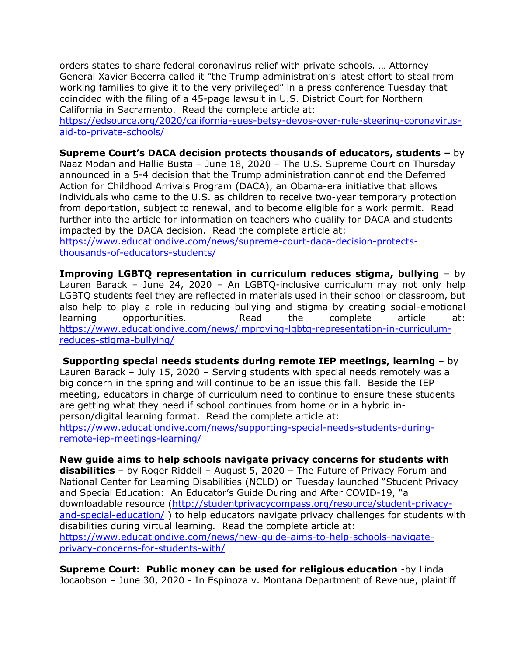orders states to share federal coronavirus relief with private schools. … Attorney General Xavier Becerra called it "the Trump administration's latest effort to steal from working families to give it to the very privileged" in a press conference Tuesday that coincided with the filing of a 45-page lawsuit in U.S. District Court for Northern California in Sacramento. Read the complete article at:

[https://edsource.org/2020/california-sues-betsy-devos-over-rule-steering-coronavirus](https://edsource.org/2020/california-sues-betsy-devos-over-rule-steering-coronavirus-aid-to-private-schools/)[aid-to-private-schools/](https://edsource.org/2020/california-sues-betsy-devos-over-rule-steering-coronavirus-aid-to-private-schools/)

#### **Supreme Court's DACA decision protects thousands of educators, students –** by

Naaz Modan and Hallie Busta – June 18, 2020 – The U.S. Supreme Court on Thursday announced in a 5-4 decision that the Trump administration cannot end the Deferred Action for Childhood Arrivals Program (DACA), an Obama-era initiative that allows individuals who came to the U.S. as children to receive two-year temporary protection from deportation, subject to renewal, and to become eligible for a work permit. Read further into the article for information on teachers who qualify for DACA and students impacted by the DACA decision. Read the complete article at:

[https://www.educationdive.com/news/supreme-court-daca-decision-protects](https://www.educationdive.com/news/supreme-court-daca-decision-protects-thousands-of-educators-students/)[thousands-of-educators-students/](https://www.educationdive.com/news/supreme-court-daca-decision-protects-thousands-of-educators-students/)

**Improving LGBTQ representation in curriculum reduces stigma, bullying** – by Lauren Barack – June 24, 2020 – An LGBTQ-inclusive curriculum may not only help LGBTQ students feel they are reflected in materials used in their school or classroom, but also help to play a role in reducing bullying and stigma by creating social-emotional learning opportunities. Read the complete article at: [https://www.educationdive.com/news/improving-lgbtq-representation-in-curriculum](https://www.educationdive.com/news/improving-lgbtq-representation-in-curriculum-reduces-stigma-bullying/)[reduces-stigma-bullying/](https://www.educationdive.com/news/improving-lgbtq-representation-in-curriculum-reduces-stigma-bullying/)

**Supporting special needs students during remote IEP meetings, learning** – by Lauren Barack – July 15, 2020 – Serving students with special needs remotely was a big concern in the spring and will continue to be an issue this fall. Beside the IEP meeting, educators in charge of curriculum need to continue to ensure these students are getting what they need if school continues from home or in a hybrid inperson/digital learning format. Read the complete article at: [https://www.educationdive.com/news/supporting-special-needs-students-during-](https://www.educationdive.com/news/supporting-special-needs-students-during-remote-iep-meetings-learning/)

[remote-iep-meetings-learning/](https://www.educationdive.com/news/supporting-special-needs-students-during-remote-iep-meetings-learning/)

**New guide aims to help schools navigate privacy concerns for students with disabilities** – by Roger Riddell – August 5, 2020 – The Future of Privacy Forum and National Center for Learning Disabilities (NCLD) on Tuesday launched "Student Privacy and Special Education: An Educator's Guide During and After COVID-19, "a downloadable resource [\(http://studentprivacycompass.org/resource/student-privacy](http://studentprivacycompass.org/resource/student-privacy-and-special-education/)[and-special-education/](http://studentprivacycompass.org/resource/student-privacy-and-special-education/)) to help educators navigate privacy challenges for students with disabilities during virtual learning. Read the complete article at: [https://www.educationdive.com/news/new-guide-aims-to-help-schools-navigate](https://www.educationdive.com/news/new-guide-aims-to-help-schools-navigate-privacy-concerns-for-students-with/)[privacy-concerns-for-students-with/](https://www.educationdive.com/news/new-guide-aims-to-help-schools-navigate-privacy-concerns-for-students-with/)

**Supreme Court: Public money can be used for religious education** -by Linda Jocaobson – June 30, 2020 - In Espinoza v. Montana Department of Revenue, plaintiff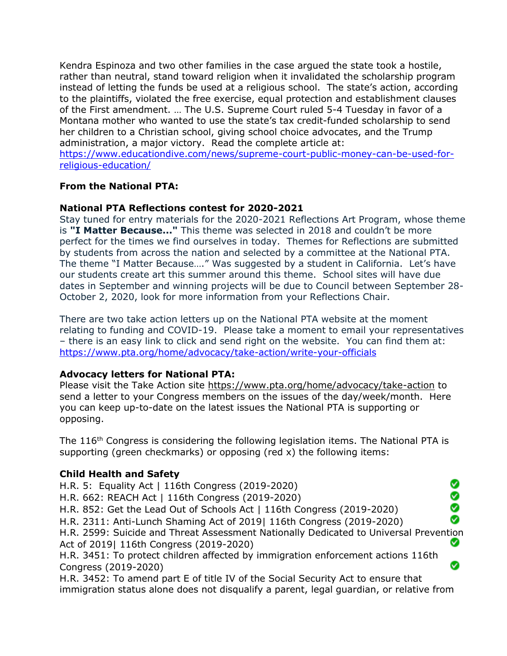Kendra Espinoza and two other families in the case argued the state took a hostile, rather than neutral, stand toward religion when it invalidated the scholarship program instead of letting the funds be used at a religious school. The state's action, according to the plaintiffs, violated the free exercise, equal protection and establishment clauses of the First amendment. … The U.S. Supreme Court ruled 5-4 Tuesday in favor of a Montana mother who wanted to use the state's tax credit-funded scholarship to send her children to a Christian school, giving school choice advocates, and the Trump administration, a major victory. Read the complete article at:

[https://www.educationdive.com/news/supreme-court-public-money-can-be-used-for](https://www.educationdive.com/news/supreme-court-public-money-can-be-used-for-religious-education/)[religious-education/](https://www.educationdive.com/news/supreme-court-public-money-can-be-used-for-religious-education/)

## **From the National PTA:**

#### **National PTA Reflections contest for 2020-2021**

Stay tuned for entry materials for the 2020-2021 Reflections Art Program, whose theme is **"I Matter Because..."** This theme was selected in 2018 and couldn't be more perfect for the times we find ourselves in today. Themes for Reflections are submitted by students from across the nation and selected by a committee at the National PTA. The theme "I Matter Because…." Was suggested by a student in California. Let's have our students create art this summer around this theme. School sites will have due dates in September and winning projects will be due to Council between September 28- October 2, 2020, look for more information from your Reflections Chair.

There are two take action letters up on the National PTA website at the moment relating to funding and COVID-19. Please take a moment to email your representatives – there is an easy link to click and send right on the website. You can find them at: <https://www.pta.org/home/advocacy/take-action/write-your-officials>

## **Advocacy letters for National PTA:**

Please visit the Take Action site<https://www.pta.org/home/advocacy/take-action> to send a letter to your Congress members on the issues of the day/week/month. Here you can keep up-to-date on the latest issues the National PTA is supporting or opposing.

The 116<sup>th</sup> Congress is considering the following legislation items. The National PTA is supporting (green checkmarks) or opposing (red x) the following items:

## **Child Health and Safety**

Ø H.R. 5: Equality Act | 116th Congress (2019-2020) ŏ H.R. 662: REACH Act | 116th Congress (2019-2020) H.R. 852: Get the Lead Out of Schools Act | 116th Congress (2019-2020) Ø H.R. 2311: Anti-Lunch Shaming Act of 2019| 116th Congress (2019-2020) H.R. 2599: Suicide and Threat Assessment Nationally Dedicated to Universal Prevention Ø Act of 2019| 116th Congress (2019-2020) H.R. 3451: To protect children affected by immigration enforcement actions 116th  $\bullet$ Congress (2019-2020) H.R. 3452: To amend part E of title IV of the Social Security Act to ensure that immigration status alone does not disqualify a parent, legal guardian, or relative from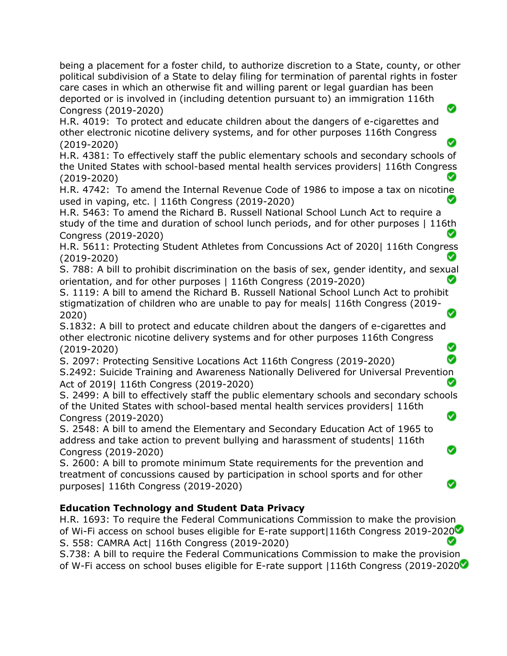being a placement for a foster child, to authorize discretion to a State, county, or other political subdivision of a State to delay filing for termination of parental rights in foster care cases in which an otherwise fit and willing parent or legal guardian has been deported or is involved in (including detention pursuant to) an immigration 116th ◙ Congress (2019-2020)

H.R. 4019: To protect and educate children about the dangers of e-cigarettes and other electronic nicotine delivery systems, and for other purposes 116th Congress (2019-2020)

H.R. 4381: To effectively staff the public elementary schools and secondary schools of the United States with school-based mental health services providers| 116th Congress (2019-2020)

H.R. 4742: To amend the Internal Revenue Code of 1986 to impose a tax on nicotine used in vaping, etc. | 116th Congress (2019-2020)

H.R. 5463: To amend the Richard B. Russell National School Lunch Act to require a study of the time and duration of school lunch periods, and for other purposes | 116th Congress (2019-2020) Ø

H.R. 5611: Protecting Student Athletes from Concussions Act of 2020| 116th Congress (2019-2020)

S. 788: A bill to prohibit discrimination on the basis of sex, gender identity, and sexual orientation, and for other purposes | 116th Congress (2019-2020) Ø

S. 1119: A bill to amend the Richard B. Russell National School Lunch Act to prohibit stigmatization of children who are unable to pay for meals| 116th Congress (2019- 2020)

S.1832: A bill to protect and educate children about the dangers of e-cigarettes and other electronic nicotine delivery systems and for other purposes 116th Congress (2019-2020) Ø

S. 2097: Protecting Sensitive Locations Act 116th Congress (2019-2020)

S.2492: Suicide Training and Awareness Nationally Delivered for Universal Prevention Act of 2019| 116th Congress (2019-2020)

S. 2499: A bill to effectively staff the public elementary schools and secondary schools of the United States with school-based mental health services providers| 116th ◙ Congress (2019-2020)

Ø

Ø

S. 2548: A bill to amend the Elementary and Secondary Education Act of 1965 to address and take action to prevent bullying and harassment of students| 116th Congress (2019-2020)

S. 2600: A bill to promote minimum State requirements for the prevention and treatment of concussions caused by participation in school sports and for other purposes| 116th Congress (2019-2020)

# **Education Technology and Student Data Privacy**

H.R. 1693: To require the Federal Communications Commission to make the provision of Wi-Fi access on school buses eligible for E-rate support|116th Congress 2019-2020 Ø S. 558: CAMRA Act| 116th Congress (2019-2020)

S.738: A bill to require the Federal Communications Commission to make the provision of W-Fi access on school buses eligible for E-rate support |116th Congress (2019-2020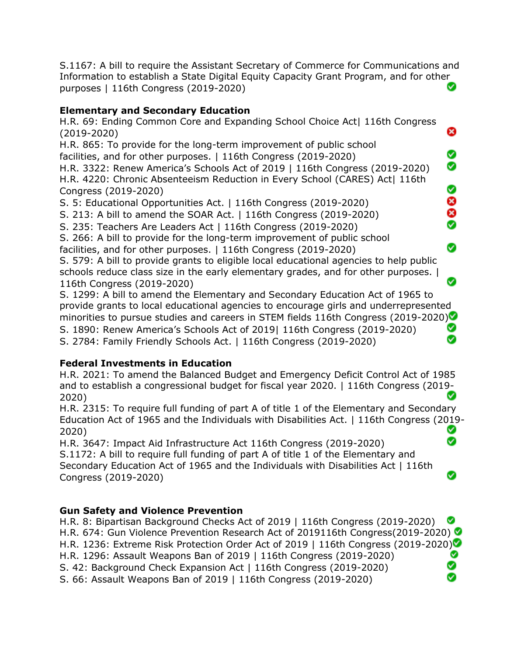S.1167: A bill to require the Assistant Secretary of Commerce for Communications and Information to establish a State Digital Equity Capacity Grant Program, and for other Ø purposes | 116th Congress (2019-2020)

# **Elementary and Secondary Education**

H.R. 69: Ending Common Core and Expanding School Choice Act| 116th Congress (2019-2020)

❸

Ø ◙

8<br>8<br>8

⊗

Ø

Ø

H.R. 865: To provide for the long-term improvement of public school facilities, and for other purposes. | 116th Congress (2019-2020)

H.R. 3322: Renew America's Schools Act of 2019 | 116th Congress (2019-2020) H.R. 4220: Chronic Absenteeism Reduction in Every School (CARES) Act| 116th Congress (2019-2020)

S. 5: Educational Opportunities Act. | 116th Congress (2019-2020)

S. 213: A bill to amend the SOAR Act. | 116th Congress (2019-2020)

S. 235: Teachers Are Leaders Act | 116th Congress (2019-2020)

S. 266: A bill to provide for the long-term improvement of public school

facilities, and for other purposes. | 116th Congress (2019-2020)

S. 579: A bill to provide grants to eligible local educational agencies to help public schools reduce class size in the early elementary grades, and for other purposes. | 116th Congress (2019-2020)

S. 1299: A bill to amend the Elementary and Secondary Education Act of 1965 to provide grants to local educational agencies to encourage girls and underrepresented minorities to pursue studies and careers in STEM fields 116th Congress (2019-2020) S. 1890: Renew America's Schools Act of 2019| 116th Congress (2019-2020) Ø S. 2784: Family Friendly Schools Act. | 116th Congress (2019-2020)

# **Federal Investments in Education**

H.R. 2021: To amend the Balanced Budget and Emergency Deficit Control Act of 1985 and to establish a congressional budget for fiscal year 2020. | 116th Congress (2019- 2020)

H.R. 2315: To require full funding of part A of title 1 of the Elementary and Secondary Education Act of 1965 and the Individuals with Disabilities Act. | 116th Congress (2019- Ø 2020) Ø

H.R. 3647: Impact Aid Infrastructure Act 116th Congress (2019-2020) S.1172: A bill to require full funding of part A of title 1 of the Elementary and Secondary Education Act of 1965 and the Individuals with Disabilities Act | 116th Congress (2019-2020)

# **Gun Safety and Violence Prevention**

H.R. 8: Bipartisan Background Checks Act of 2019 | 116th Congress (2019-2020) H.R. 674: Gun Violence Prevention Research Act of 2019116th Congress(2019-2020) H.R. 1236: Extreme Risk Protection Order Act of 2019 | 116th Congress (2019-2020) Ø H.R. 1296: Assault Weapons Ban of 2019 | 116th Congress (2019-2020) S. 42: Background Check Expansion Act | 116th Congress (2019-2020) ◙ S. 66: Assault Weapons Ban of 2019 | 116th Congress (2019-2020)